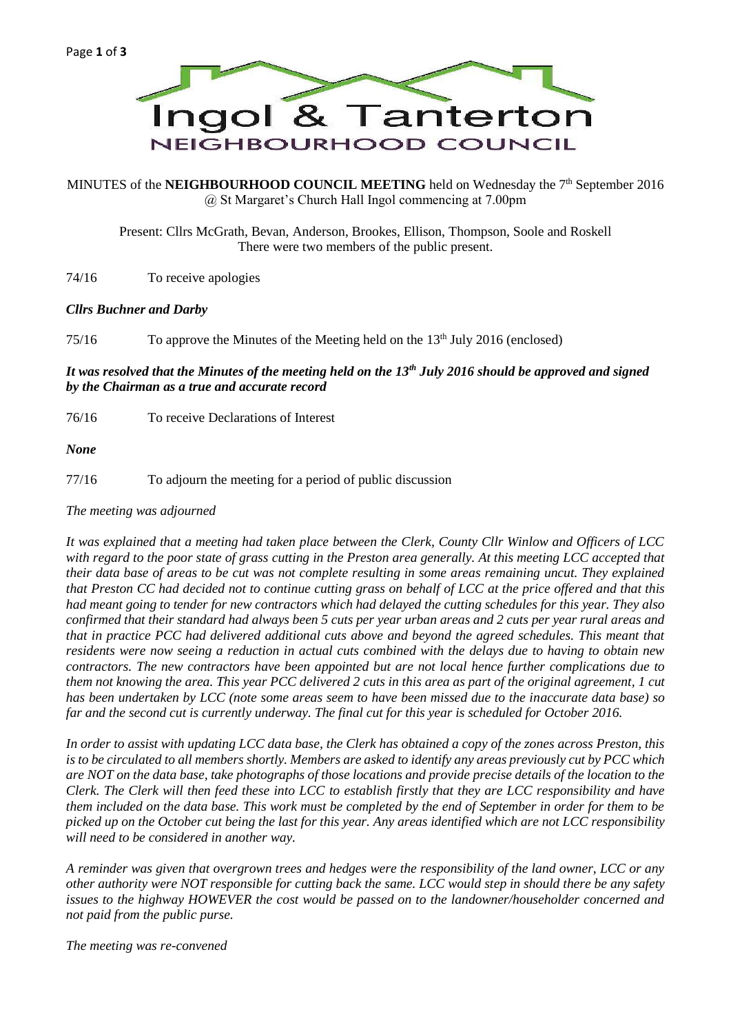

MINUTES of the **NEIGHBOURHOOD COUNCIL MEETING** held on Wednesday the 7<sup>th</sup> September 2016 @ St Margaret's Church Hall Ingol commencing at 7.00pm

Present: Cllrs McGrath, Bevan, Anderson, Brookes, Ellison, Thompson, Soole and Roskell There were two members of the public present.

74/16 To receive apologies

### *Cllrs Buchner and Darby*

75/16 To approve the Minutes of the Meeting held on the 13<sup>th</sup> July 2016 (enclosed)

# *It was resolved that the Minutes of the meeting held on the 13th July 2016 should be approved and signed by the Chairman as a true and accurate record*

76/16 To receive Declarations of Interest

*None*

77/16 To adjourn the meeting for a period of public discussion

#### *The meeting was adjourned*

*It was explained that a meeting had taken place between the Clerk, County Cllr Winlow and Officers of LCC with regard to the poor state of grass cutting in the Preston area generally. At this meeting LCC accepted that their data base of areas to be cut was not complete resulting in some areas remaining uncut. They explained that Preston CC had decided not to continue cutting grass on behalf of LCC at the price offered and that this had meant going to tender for new contractors which had delayed the cutting schedules for this year. They also confirmed that their standard had always been 5 cuts per year urban areas and 2 cuts per year rural areas and that in practice PCC had delivered additional cuts above and beyond the agreed schedules. This meant that residents were now seeing a reduction in actual cuts combined with the delays due to having to obtain new contractors. The new contractors have been appointed but are not local hence further complications due to them not knowing the area. This year PCC delivered 2 cuts in this area as part of the original agreement, 1 cut has been undertaken by LCC (note some areas seem to have been missed due to the inaccurate data base) so far and the second cut is currently underway. The final cut for this year is scheduled for October 2016.*

*In order to assist with updating LCC data base, the Clerk has obtained a copy of the zones across Preston, this is to be circulated to all members shortly. Members are asked to identify any areas previously cut by PCC which are NOT on the data base, take photographs of those locations and provide precise details of the location to the Clerk. The Clerk will then feed these into LCC to establish firstly that they are LCC responsibility and have them included on the data base. This work must be completed by the end of September in order for them to be picked up on the October cut being the last for this year. Any areas identified which are not LCC responsibility will need to be considered in another way.*

*A reminder was given that overgrown trees and hedges were the responsibility of the land owner, LCC or any other authority were NOT responsible for cutting back the same. LCC would step in should there be any safety issues to the highway HOWEVER the cost would be passed on to the landowner/householder concerned and not paid from the public purse.*

*The meeting was re-convened*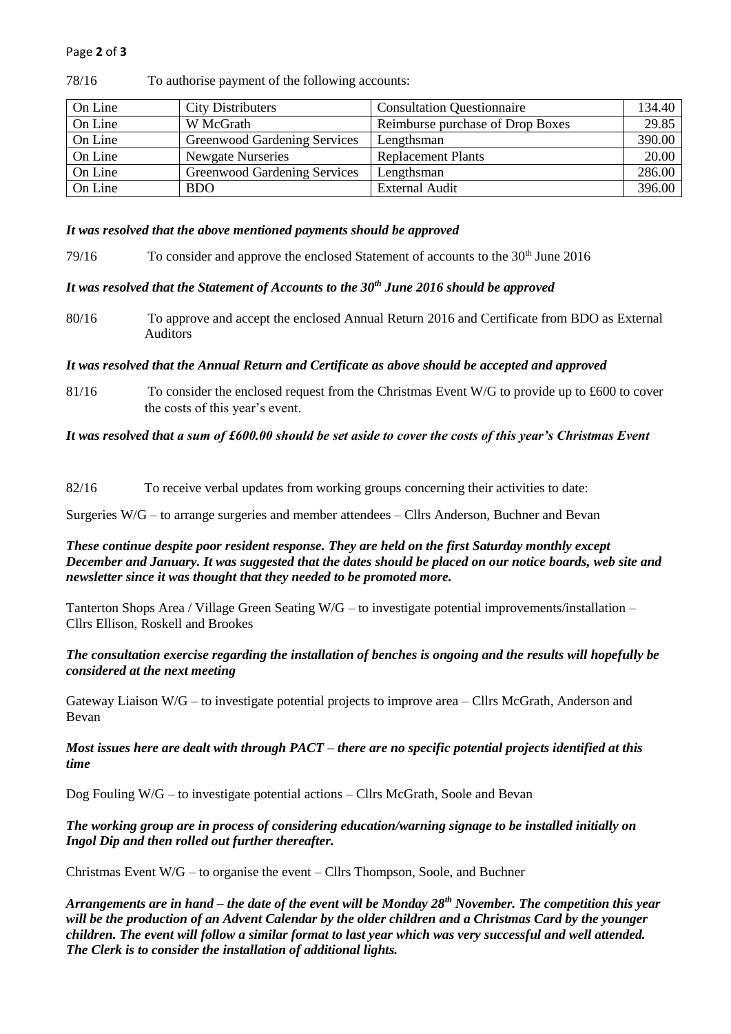## Page **2** of **3**

| On Line | <b>City Distributers</b>     | <b>Consultation Questionnaire</b> | 134.40 |
|---------|------------------------------|-----------------------------------|--------|
| On Line | W McGrath                    | Reimburse purchase of Drop Boxes  | 29.85  |
| On Line | Greenwood Gardening Services | Lengthsman                        | 390.00 |
| On Line | <b>Newgate Nurseries</b>     | <b>Replacement Plants</b>         | 20.00  |
| On Line | Greenwood Gardening Services | Lengthsman                        | 286.00 |
| On Line | <b>BDO</b>                   | <b>External Audit</b>             | 396.00 |

78/16 To authorise payment of the following accounts:

#### *It was resolved that the above mentioned payments should be approved*

79/16 To consider and approve the enclosed Statement of accounts to the 30<sup>th</sup> June 2016

## *It was resolved that the Statement of Accounts to the 30th June 2016 should be approved*

80/16 To approve and accept the enclosed Annual Return 2016 and Certificate from BDO as External Auditors

### *It was resolved that the Annual Return and Certificate as above should be accepted and approved*

81/16 To consider the enclosed request from the Christmas Event W/G to provide up to £600 to cover the costs of this year's event.

#### *It was resolved that a sum of £600.00 should be set aside to cover the costs of this year's Christmas Event*

82/16 To receive verbal updates from working groups concerning their activities to date:

Surgeries W/G – to arrange surgeries and member attendees – Cllrs Anderson, Buchner and Bevan

## *These continue despite poor resident response. They are held on the first Saturday monthly except December and January. It was suggested that the dates should be placed on our notice boards, web site and newsletter since it was thought that they needed to be promoted more.*

Tanterton Shops Area / Village Green Seating W/G – to investigate potential improvements/installation – Cllrs Ellison, Roskell and Brookes

### *The consultation exercise regarding the installation of benches is ongoing and the results will hopefully be considered at the next meeting*

Gateway Liaison W/G – to investigate potential projects to improve area – Cllrs McGrath, Anderson and Bevan

### *Most issues here are dealt with through PACT – there are no specific potential projects identified at this time*

Dog Fouling W/G – to investigate potential actions – Cllrs McGrath, Soole and Bevan

## *The working group are in process of considering education/warning signage to be installed initially on Ingol Dip and then rolled out further thereafter.*

Christmas Event W/G – to organise the event – Cllrs Thompson, Soole, and Buchner

*Arrangements are in hand – the date of the event will be Monday 28th November. The competition this year will be the production of an Advent Calendar by the older children and a Christmas Card by the younger children. The event will follow a similar format to last year which was very successful and well attended. The Clerk is to consider the installation of additional lights.*